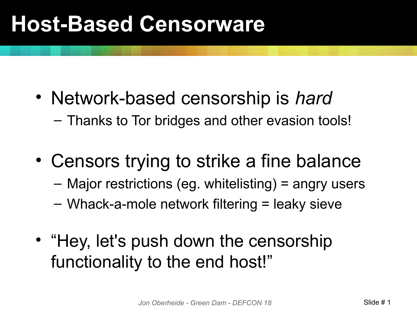#### **Host-Based Censorware**

- Network-based censorship is *hard* – Thanks to Tor bridges and other evasion tools!
- Censors trying to strike a fine balance
	- Major restrictions (eg. whitelisting) = angry users
	- Whack-a-mole network filtering = leaky sieve
- "Hey, let's push down the censorship functionality to the end host!"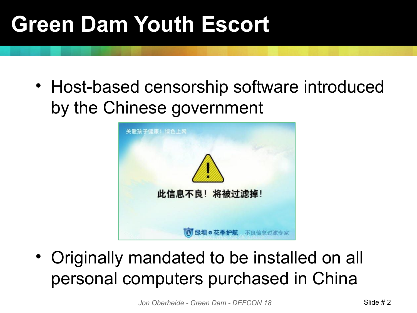### **Green Dam Youth Escort**

• Host-based censorship software introduced by the Chinese government



• Originally mandated to be installed on all personal computers purchased in China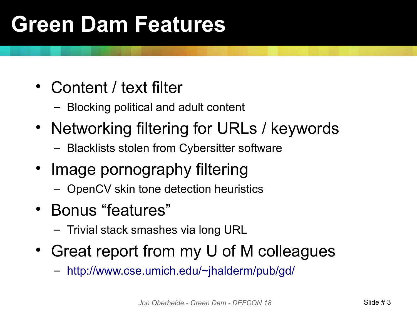### **Green Dam Features**

- Content / text filter
	- Blocking political and adult content
- Networking filtering for URLs / keywords
	- Blacklists stolen from Cybersitter software
- Image pornography filtering
	- OpenCV skin tone detection heuristics
- Bonus "features"
	- Trivial stack smashes via long URL
- Great report from my U of M colleagues
	- <http://www.cse.umich.edu/~jhalderm/pub/gd/>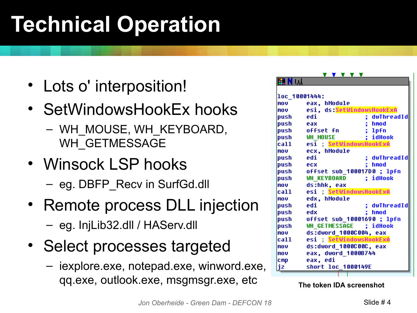## **Technical Operation**

- Lots o' interposition!
- SetWindowsHookEx hooks
	- WH\_MOUSE, WH\_KEYBOARD, WH\_GETMESSAGE
- Winsock LSP hooks
	- eg. DBFP\_Recv in SurfGd.dll
- Remote process DLL injection – eg. InjLib32.dll / HAServ.dll
- Select processes targeted
	- iexplore.exe, notepad.exe, winword.exe, qq.exe, outlook.exe, msgmsgr.exe, etc **The token IDA screenshot**

|               | <b>V V V V V</b>                 |
|---------------|----------------------------------|
| 開N叫           |                                  |
|               |                                  |
| loc 10001444: |                                  |
| mou           | eax, hModule                     |
| <b>MOU</b>    | esi, ds:SetWindowsHookExA        |
| push          | edi<br>; dwThreadId              |
| push eax      | ; hmod                           |
|               | ; 1pfn<br>push offset fn         |
|               | <b>push</b> WH MOUSE<br>: idHook |
|               | call esi ; SetWindowsHookExA     |
| mov           | ecx, hModule                     |
| push          | edi<br>; dwThreadId              |
| push ecx      | ; hmod                           |
|               | push offset sub 100017D0; lpfn   |
|               | push WH_KEYBOARD ; idHook        |
| mou           | ds:hhk, eax                      |
| ca11          | esi ; SetWindowsHookExA          |
| mou           | edx, hModule                     |
| push          | edi<br>: dwThreadId              |
| push edx      | ; hmod                           |
|               | push offset sub 10001690; lpfn   |
|               | push WH GETMESSAGE ; idHook      |
| mov           | ds:dword 1000C004, eax           |
| call          | esi ; SetWindowsHookExA          |
| mou           | ds:dword 1000C00C, eax           |
| mou           | eax, dword 1000B744              |
| <b>CMP</b>    | eax, edi                         |
| jz            | short loc 1000149E               |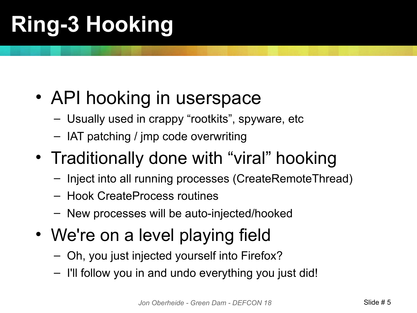# **Ring-3 Hooking**

- API hooking in userspace
	- Usually used in crappy "rootkits", spyware, etc
	- IAT patching / jmp code overwriting
- Traditionally done with "viral" hooking
	- Inject into all running processes (CreateRemoteThread)
	- Hook CreateProcess routines
	- New processes will be auto-injected/hooked
- We're on a level playing field
	- Oh, you just injected yourself into Firefox?
	- I'll follow you in and undo everything you just did!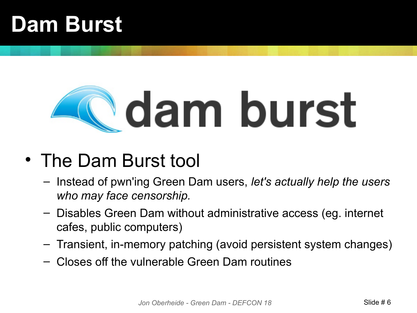### **Dam Burst**

# dam burst

#### • The Dam Burst tool

- Instead of pwn'ing Green Dam users, *let's actually help the users who may face censorship.*
- Disables Green Dam without administrative access (eg. internet cafes, public computers)
- Transient, in-memory patching (avoid persistent system changes)
- Closes off the vulnerable Green Dam routines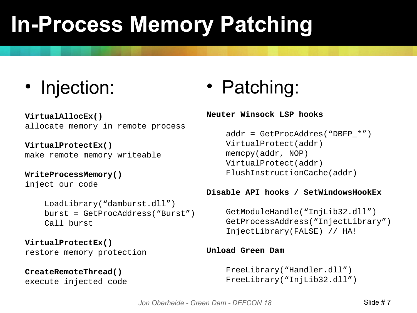### **In-Process Memory Patching**

• Injection:

**VirtualAllocEx()** allocate memory in remote process

**VirtualProtectEx()** make remote memory writeable

**WriteProcessMemory()** inject our code

> LoadLibrary("damburst.dll") burst = GetProcAddress("Burst") Call burst

**VirtualProtectEx()** restore memory protection

#### **CreateRemoteThread()** execute injected code

• Patching:

#### **Neuter Winsock LSP hooks**

 $addr = GetProcAddress("DBFP *")$  VirtualProtect(addr) memcpy(addr, NOP) VirtualProtect(addr) FlushInstructionCache(addr)

#### **Disable API hooks / SetWindowsHookEx**

 GetModuleHandle("InjLib32.dll") GetProcessAddress("InjectLibrary") InjectLibrary(FALSE) // HA!

#### **Unload Green Dam**

 FreeLibrary("Handler.dll") FreeLibrary("InjLib32.dll")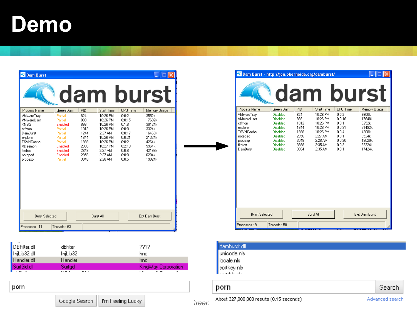#### **Demo**

porn

| <b>Bam Burst</b>                                                                                                                                                |                                                                                                                                    |                                                                                                 |                                                                                                                                                   |                                                                                                                 | dam burst                                                                                                             |
|-----------------------------------------------------------------------------------------------------------------------------------------------------------------|------------------------------------------------------------------------------------------------------------------------------------|-------------------------------------------------------------------------------------------------|---------------------------------------------------------------------------------------------------------------------------------------------------|-----------------------------------------------------------------------------------------------------------------|-----------------------------------------------------------------------------------------------------------------------|
| Process Name<br>VMwareTray<br>VMwareUser<br>XNet2<br>ctfmon<br>DamBurst<br>explorer<br><b>TSVNCache</b><br>XD <sub>aemon</sub><br>firefox<br>notepad<br>procexp | Green Dam<br>Partial<br>Partial<br>Enabled<br>Partial<br>Partial<br>Partial<br>Partial<br>Enabled<br>Enabled<br>Enabled<br>Partial | <b>PID</b><br>824<br>888<br>896<br>1012<br>1244<br>1844<br>1988<br>2396<br>2648<br>2956<br>3048 | <b>Start Time</b><br>10:26 PM<br>10:26 PM<br>10:26 PM<br>10:26 PM<br>2:27 AM<br>10:26 PM<br>10:26 PM<br>10:27 PM<br>2:27 AM<br>2:27 AM<br>2:28 AM | CPU Time<br>0:0:2<br>0:0:15<br>0:1:8<br>0:0:0<br>0:0:17<br>0:0:21<br>0:0:2<br>0:2:13<br>0:0:8<br>0:0:0<br>0:0:5 | Memory Usage<br>3552k<br>17632k<br>30124k<br>3324k<br>16468k<br>21324k<br>4264k<br>5964k<br>42196k<br>6204k<br>19024k |
| <b>Burst Selected</b><br>Processes: 11                                                                                                                          | Threads: 63                                                                                                                        |                                                                                                 | <b>Burst All</b>                                                                                                                                  |                                                                                                                 | Exit Dam Burst                                                                                                        |

| DBFilter.dll                  | dbfilter                 | 2222                            |  |
|-------------------------------|--------------------------|---------------------------------|--|
| InjLib32.dll<br>  Handler.dll | IniLib32                 | hnc.                            |  |
|                               | Handler                  | hnc                             |  |
| SurfGd.dll                    | Surfad                   | KingWay Corporation             |  |
| $-10 - 10$                    | 5.177.1<br><b>DOM: N</b> | .<br>$\sim$ $\sim$<br>$\cdot$ . |  |

Dam Burst - http://jon.oberheide.org/damburst/  $\mathbf{L}$ dam burst Process Name Green Dam **PID** Start Time CPU Time Memory Usage VMwareTray Disabled 824 10:26 PM  $0:0:2$ 3600k 888 10:26 PM 17648k VMwareUser Disabled  $0:0:16$ Disabled 1012 10:26 PM  $3252k$ ctfmon  $0:0:1$ 21492k explorer Disabled 1844 10:26 PM  $0:0:31$ TSVNCache Disabled 1988 10:26 PM  $0:0:4$ 4308k notepad Disabled 2956 2:27 AM  $0:0:1$ 3524k procesp Disabled 3048 2:28 AM  $0:0:20$ 19020k Disabled 3388 2:35 AM 33324k firefox  $0:0:3$ DamBurst Disabled 3804 2:35 AM  $0:0:1$ 17424k Burst All Exit Dam Burst **Burst Selected** Processes: 9 Threads: 50

| damburst.dll<br>unicode.nls<br>locale.nls<br>$\left  \begin{array}{c} \text{sortkey}.\text{nls} \\ \text{startkey}.\text{nls} \end{array} \right $ |        |
|----------------------------------------------------------------------------------------------------------------------------------------------------|--------|
| porn                                                                                                                                               | Search |

Google Search

*J*<sub>m</sub> Feeling Lucky **J** *Jreen* About 327,000,000 results (0.15 seconds) Advanced search